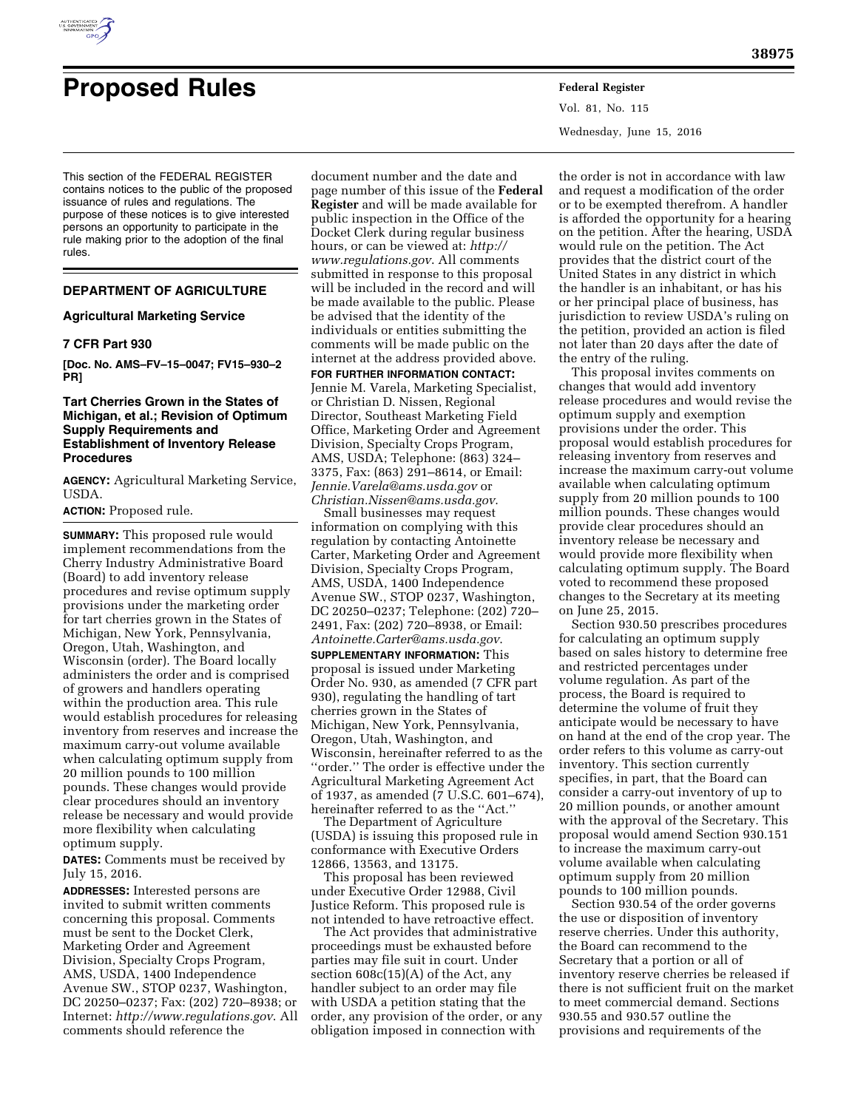

# **Proposed Rules Federal Register**

Vol. 81, No. 115 Wednesday, June 15, 2016

This section of the FEDERAL REGISTER contains notices to the public of the proposed issuance of rules and regulations. The purpose of these notices is to give interested persons an opportunity to participate in the rule making prior to the adoption of the final rules.

# **DEPARTMENT OF AGRICULTURE**

## **Agricultural Marketing Service**

# **7 CFR Part 930**

**[Doc. No. AMS–FV–15–0047; FV15–930–2 PR]** 

# **Tart Cherries Grown in the States of Michigan, et al.; Revision of Optimum Supply Requirements and Establishment of Inventory Release Procedures**

**AGENCY:** Agricultural Marketing Service, USDA.

## **ACTION:** Proposed rule.

**SUMMARY:** This proposed rule would implement recommendations from the Cherry Industry Administrative Board (Board) to add inventory release procedures and revise optimum supply provisions under the marketing order for tart cherries grown in the States of Michigan, New York, Pennsylvania, Oregon, Utah, Washington, and Wisconsin (order). The Board locally administers the order and is comprised of growers and handlers operating within the production area. This rule would establish procedures for releasing inventory from reserves and increase the maximum carry-out volume available when calculating optimum supply from 20 million pounds to 100 million pounds. These changes would provide clear procedures should an inventory release be necessary and would provide more flexibility when calculating optimum supply.

**DATES:** Comments must be received by July 15, 2016.

**ADDRESSES:** Interested persons are invited to submit written comments concerning this proposal. Comments must be sent to the Docket Clerk, Marketing Order and Agreement Division, Specialty Crops Program, AMS, USDA, 1400 Independence Avenue SW., STOP 0237, Washington, DC 20250–0237; Fax: (202) 720–8938; or Internet: *<http://www.regulations.gov>*. All comments should reference the

document number and the date and page number of this issue of the **Federal Register** and will be made available for public inspection in the Office of the Docket Clerk during regular business hours, or can be viewed at: *[http://](http://www.regulations.gov) [www.regulations.gov](http://www.regulations.gov)*. All comments submitted in response to this proposal will be included in the record and will be made available to the public. Please be advised that the identity of the individuals or entities submitting the comments will be made public on the internet at the address provided above. **FOR FURTHER INFORMATION CONTACT:** 

Jennie M. Varela, Marketing Specialist, or Christian D. Nissen, Regional Director, Southeast Marketing Field Office, Marketing Order and Agreement Division, Specialty Crops Program, AMS, USDA; Telephone: (863) 324– 3375, Fax: (863) 291–8614, or Email: *[Jennie.Varela@ams.usda.gov](mailto:Jennie.Varela@ams.usda.gov)* or *[Christian.Nissen@ams.usda.gov](mailto:Christian.Nissen@ams.usda.gov)*.

Small businesses may request information on complying with this regulation by contacting Antoinette Carter, Marketing Order and Agreement Division, Specialty Crops Program, AMS, USDA, 1400 Independence Avenue SW., STOP 0237, Washington, DC 20250–0237; Telephone: (202) 720– 2491, Fax: (202) 720–8938, or Email: *[Antoinette.Carter@ams.usda.gov](mailto:Antoinette.Carter@ams.usda.gov)*. **SUPPLEMENTARY INFORMATION:** This proposal is issued under Marketing Order No. 930, as amended (7 CFR part 930), regulating the handling of tart cherries grown in the States of Michigan, New York, Pennsylvania, Oregon, Utah, Washington, and Wisconsin, hereinafter referred to as the ''order.'' The order is effective under the Agricultural Marketing Agreement Act of 1937, as amended  $(7 \text{ U.S.C. } 601 - 674)$ , hereinafter referred to as the ''Act.''

The Department of Agriculture (USDA) is issuing this proposed rule in conformance with Executive Orders 12866, 13563, and 13175.

This proposal has been reviewed under Executive Order 12988, Civil Justice Reform. This proposed rule is not intended to have retroactive effect.

The Act provides that administrative proceedings must be exhausted before parties may file suit in court. Under section 608c(15)(A) of the Act, any handler subject to an order may file with USDA a petition stating that the order, any provision of the order, or any obligation imposed in connection with

the order is not in accordance with law and request a modification of the order or to be exempted therefrom. A handler is afforded the opportunity for a hearing on the petition. After the hearing, USDA would rule on the petition. The Act provides that the district court of the United States in any district in which the handler is an inhabitant, or has his or her principal place of business, has jurisdiction to review USDA's ruling on the petition, provided an action is filed not later than 20 days after the date of the entry of the ruling.

This proposal invites comments on changes that would add inventory release procedures and would revise the optimum supply and exemption provisions under the order. This proposal would establish procedures for releasing inventory from reserves and increase the maximum carry-out volume available when calculating optimum supply from 20 million pounds to 100 million pounds. These changes would provide clear procedures should an inventory release be necessary and would provide more flexibility when calculating optimum supply. The Board voted to recommend these proposed changes to the Secretary at its meeting on June 25, 2015.

Section 930.50 prescribes procedures for calculating an optimum supply based on sales history to determine free and restricted percentages under volume regulation. As part of the process, the Board is required to determine the volume of fruit they anticipate would be necessary to have on hand at the end of the crop year. The order refers to this volume as carry-out inventory. This section currently specifies, in part, that the Board can consider a carry-out inventory of up to 20 million pounds, or another amount with the approval of the Secretary. This proposal would amend Section 930.151 to increase the maximum carry-out volume available when calculating optimum supply from 20 million pounds to 100 million pounds.

Section 930.54 of the order governs the use or disposition of inventory reserve cherries. Under this authority, the Board can recommend to the Secretary that a portion or all of inventory reserve cherries be released if there is not sufficient fruit on the market to meet commercial demand. Sections 930.55 and 930.57 outline the provisions and requirements of the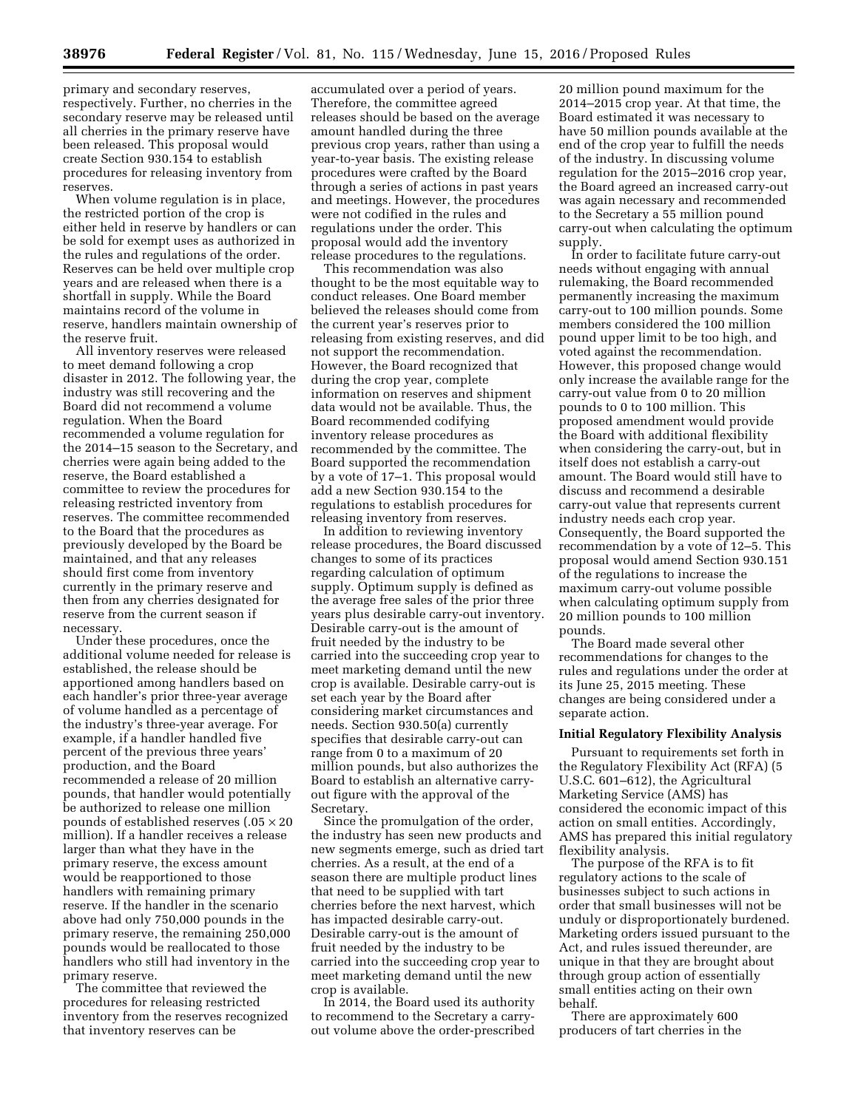primary and secondary reserves, respectively. Further, no cherries in the secondary reserve may be released until all cherries in the primary reserve have been released. This proposal would create Section 930.154 to establish procedures for releasing inventory from reserves.

When volume regulation is in place, the restricted portion of the crop is either held in reserve by handlers or can be sold for exempt uses as authorized in the rules and regulations of the order. Reserves can be held over multiple crop years and are released when there is a shortfall in supply. While the Board maintains record of the volume in reserve, handlers maintain ownership of the reserve fruit.

All inventory reserves were released to meet demand following a crop disaster in 2012. The following year, the industry was still recovering and the Board did not recommend a volume regulation. When the Board recommended a volume regulation for the 2014–15 season to the Secretary, and cherries were again being added to the reserve, the Board established a committee to review the procedures for releasing restricted inventory from reserves. The committee recommended to the Board that the procedures as previously developed by the Board be maintained, and that any releases should first come from inventory currently in the primary reserve and then from any cherries designated for reserve from the current season if necessary.

Under these procedures, once the additional volume needed for release is established, the release should be apportioned among handlers based on each handler's prior three-year average of volume handled as a percentage of the industry's three-year average. For example, if a handler handled five percent of the previous three years' production, and the Board recommended a release of 20 million pounds, that handler would potentially be authorized to release one million pounds of established reserves  $(.05 \times 20)$ million). If a handler receives a release larger than what they have in the primary reserve, the excess amount would be reapportioned to those handlers with remaining primary reserve. If the handler in the scenario above had only 750,000 pounds in the primary reserve, the remaining 250,000 pounds would be reallocated to those handlers who still had inventory in the primary reserve.

The committee that reviewed the procedures for releasing restricted inventory from the reserves recognized that inventory reserves can be

accumulated over a period of years. Therefore, the committee agreed releases should be based on the average amount handled during the three previous crop years, rather than using a year-to-year basis. The existing release procedures were crafted by the Board through a series of actions in past years and meetings. However, the procedures were not codified in the rules and regulations under the order. This proposal would add the inventory release procedures to the regulations.

This recommendation was also thought to be the most equitable way to conduct releases. One Board member believed the releases should come from the current year's reserves prior to releasing from existing reserves, and did not support the recommendation. However, the Board recognized that during the crop year, complete information on reserves and shipment data would not be available. Thus, the Board recommended codifying inventory release procedures as recommended by the committee. The Board supported the recommendation by a vote of 17–1. This proposal would add a new Section 930.154 to the regulations to establish procedures for releasing inventory from reserves.

In addition to reviewing inventory release procedures, the Board discussed changes to some of its practices regarding calculation of optimum supply. Optimum supply is defined as the average free sales of the prior three years plus desirable carry-out inventory. Desirable carry-out is the amount of fruit needed by the industry to be carried into the succeeding crop year to meet marketing demand until the new crop is available. Desirable carry-out is set each year by the Board after considering market circumstances and needs. Section 930.50(a) currently specifies that desirable carry-out can range from 0 to a maximum of 20 million pounds, but also authorizes the Board to establish an alternative carryout figure with the approval of the Secretary.

Since the promulgation of the order, the industry has seen new products and new segments emerge, such as dried tart cherries. As a result, at the end of a season there are multiple product lines that need to be supplied with tart cherries before the next harvest, which has impacted desirable carry-out. Desirable carry-out is the amount of fruit needed by the industry to be carried into the succeeding crop year to meet marketing demand until the new crop is available.

In 2014, the Board used its authority to recommend to the Secretary a carryout volume above the order-prescribed

20 million pound maximum for the 2014–2015 crop year. At that time, the Board estimated it was necessary to have 50 million pounds available at the end of the crop year to fulfill the needs of the industry. In discussing volume regulation for the 2015–2016 crop year, the Board agreed an increased carry-out was again necessary and recommended to the Secretary a 55 million pound carry-out when calculating the optimum supply.

In order to facilitate future carry-out needs without engaging with annual rulemaking, the Board recommended permanently increasing the maximum carry-out to 100 million pounds. Some members considered the 100 million pound upper limit to be too high, and voted against the recommendation. However, this proposed change would only increase the available range for the carry-out value from 0 to 20 million pounds to 0 to 100 million. This proposed amendment would provide the Board with additional flexibility when considering the carry-out, but in itself does not establish a carry-out amount. The Board would still have to discuss and recommend a desirable carry-out value that represents current industry needs each crop year. Consequently, the Board supported the recommendation by a vote of 12–5. This proposal would amend Section 930.151 of the regulations to increase the maximum carry-out volume possible when calculating optimum supply from 20 million pounds to 100 million pounds.

The Board made several other recommendations for changes to the rules and regulations under the order at its June 25, 2015 meeting. These changes are being considered under a separate action.

#### **Initial Regulatory Flexibility Analysis**

Pursuant to requirements set forth in the Regulatory Flexibility Act (RFA) (5 U.S.C. 601–612), the Agricultural Marketing Service (AMS) has considered the economic impact of this action on small entities. Accordingly, AMS has prepared this initial regulatory flexibility analysis.

The purpose of the RFA is to fit regulatory actions to the scale of businesses subject to such actions in order that small businesses will not be unduly or disproportionately burdened. Marketing orders issued pursuant to the Act, and rules issued thereunder, are unique in that they are brought about through group action of essentially small entities acting on their own behalf.

There are approximately 600 producers of tart cherries in the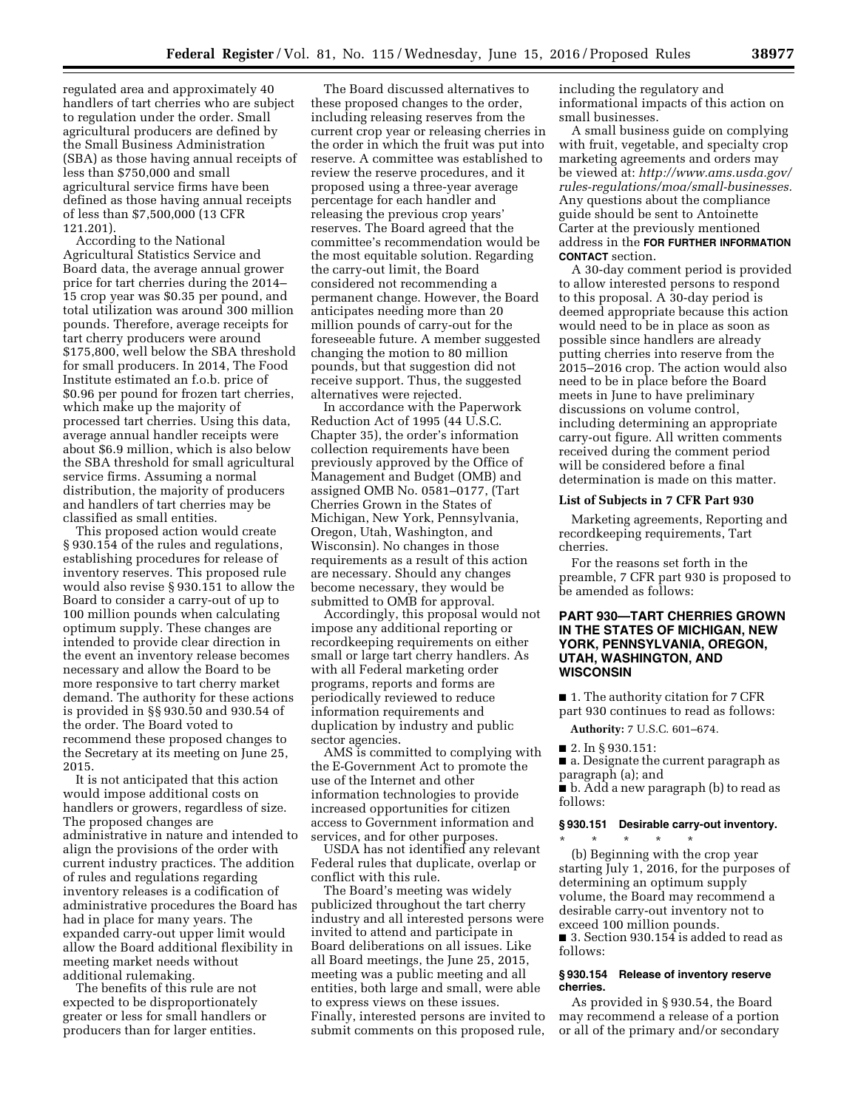regulated area and approximately 40 handlers of tart cherries who are subject to regulation under the order. Small agricultural producers are defined by the Small Business Administration (SBA) as those having annual receipts of less than \$750,000 and small agricultural service firms have been defined as those having annual receipts of less than \$7,500,000 (13 CFR 121.201).

According to the National Agricultural Statistics Service and Board data, the average annual grower price for tart cherries during the 2014– 15 crop year was \$0.35 per pound, and total utilization was around 300 million pounds. Therefore, average receipts for tart cherry producers were around \$175,800, well below the SBA threshold for small producers. In 2014, The Food Institute estimated an f.o.b. price of \$0.96 per pound for frozen tart cherries, which make up the majority of processed tart cherries. Using this data, average annual handler receipts were about \$6.9 million, which is also below the SBA threshold for small agricultural service firms. Assuming a normal distribution, the majority of producers and handlers of tart cherries may be classified as small entities.

This proposed action would create § 930.154 of the rules and regulations, establishing procedures for release of inventory reserves. This proposed rule would also revise § 930.151 to allow the Board to consider a carry-out of up to 100 million pounds when calculating optimum supply. These changes are intended to provide clear direction in the event an inventory release becomes necessary and allow the Board to be more responsive to tart cherry market demand. The authority for these actions is provided in §§ 930.50 and 930.54 of the order. The Board voted to recommend these proposed changes to the Secretary at its meeting on June 25, 2015.

It is not anticipated that this action would impose additional costs on handlers or growers, regardless of size. The proposed changes are administrative in nature and intended to align the provisions of the order with current industry practices. The addition of rules and regulations regarding inventory releases is a codification of administrative procedures the Board has had in place for many years. The expanded carry-out upper limit would allow the Board additional flexibility in meeting market needs without additional rulemaking.

The benefits of this rule are not expected to be disproportionately greater or less for small handlers or producers than for larger entities.

The Board discussed alternatives to these proposed changes to the order, including releasing reserves from the current crop year or releasing cherries in the order in which the fruit was put into reserve. A committee was established to review the reserve procedures, and it proposed using a three-year average percentage for each handler and releasing the previous crop years' reserves. The Board agreed that the committee's recommendation would be the most equitable solution. Regarding the carry-out limit, the Board considered not recommending a permanent change. However, the Board anticipates needing more than 20 million pounds of carry-out for the foreseeable future. A member suggested changing the motion to 80 million pounds, but that suggestion did not receive support. Thus, the suggested alternatives were rejected.

In accordance with the Paperwork Reduction Act of 1995 (44 U.S.C. Chapter 35), the order's information collection requirements have been previously approved by the Office of Management and Budget (OMB) and assigned OMB No. 0581–0177, (Tart Cherries Grown in the States of Michigan, New York, Pennsylvania, Oregon, Utah, Washington, and Wisconsin). No changes in those requirements as a result of this action are necessary. Should any changes become necessary, they would be submitted to OMB for approval.

Accordingly, this proposal would not impose any additional reporting or recordkeeping requirements on either small or large tart cherry handlers. As with all Federal marketing order programs, reports and forms are periodically reviewed to reduce information requirements and duplication by industry and public sector agencies.

AMS is committed to complying with the E-Government Act to promote the use of the Internet and other information technologies to provide increased opportunities for citizen access to Government information and services, and for other purposes.

USDA has not identified any relevant Federal rules that duplicate, overlap or conflict with this rule.

The Board's meeting was widely publicized throughout the tart cherry industry and all interested persons were invited to attend and participate in Board deliberations on all issues. Like all Board meetings, the June 25, 2015, meeting was a public meeting and all entities, both large and small, were able to express views on these issues. Finally, interested persons are invited to submit comments on this proposed rule,

including the regulatory and informational impacts of this action on small businesses.

A small business guide on complying with fruit, vegetable, and specialty crop marketing agreements and orders may be viewed at: *[http://www.ams.usda.gov/](http://www.ams.usda.gov/rules-regulations/moa/small-businesses) [rules-regulations/moa/small-businesses.](http://www.ams.usda.gov/rules-regulations/moa/small-businesses)*  Any questions about the compliance guide should be sent to Antoinette Carter at the previously mentioned address in the **FOR FURTHER INFORMATION CONTACT** section.

A 30-day comment period is provided to allow interested persons to respond to this proposal. A 30-day period is deemed appropriate because this action would need to be in place as soon as possible since handlers are already putting cherries into reserve from the 2015–2016 crop. The action would also need to be in place before the Board meets in June to have preliminary discussions on volume control, including determining an appropriate carry-out figure. All written comments received during the comment period will be considered before a final determination is made on this matter.

#### **List of Subjects in 7 CFR Part 930**

Marketing agreements, Reporting and recordkeeping requirements, Tart cherries.

For the reasons set forth in the preamble, 7 CFR part 930 is proposed to be amended as follows:

## **PART 930—TART CHERRIES GROWN IN THE STATES OF MICHIGAN, NEW YORK, PENNSYLVANIA, OREGON, UTAH, WASHINGTON, AND WISCONSIN**

■ 1. The authority citation for 7 CFR part 930 continues to read as follows:

**Authority:** 7 U.S.C. 601–674.

■ 2. In § 930.151:

■ a. Designate the current paragraph as paragraph (a); and

■ b. Add a new paragraph (b) to read as follows:

#### **§ 930.151 Desirable carry-out inventory.**  \* \* \* \* \*

(b) Beginning with the crop year starting July 1, 2016, for the purposes of determining an optimum supply volume, the Board may recommend a desirable carry-out inventory not to exceed 100 million pounds.

■ 3. Section 930.154 is added to read as follows:

## **§ 930.154 Release of inventory reserve cherries.**

As provided in § 930.54, the Board may recommend a release of a portion or all of the primary and/or secondary